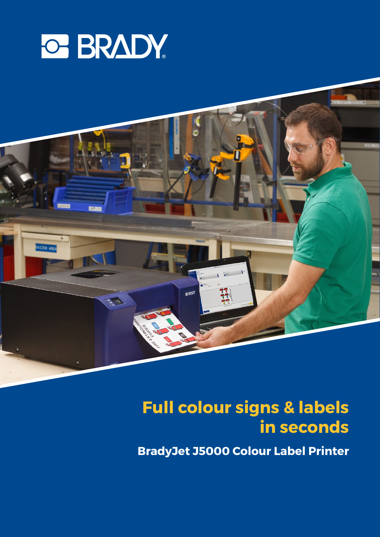



### **Full colour signs & labels benefit in seconds**

**BradyJet J5000 Colour Label Printer**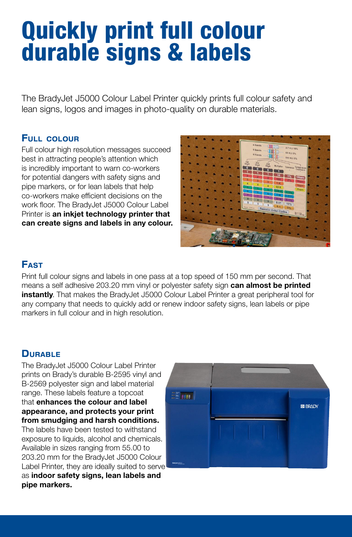### Quickly print full colour durable signs & labels

The BradyJet J5000 Colour Label Printer quickly prints full colour safety and lean signs, logos and images in photo-quality on durable materials.

### FULL COLOUR

Full colour high resolution messages succeed best in attracting people's attention which is incredibly important to warn co-workers for potential dangers with safety signs and pipe markers, or for lean labels that help co-workers make efficient decisions on the work floor. The BradyJet J5000 Colour Label Printer is an inkjet technology printer that can create signs and labels in any colour.



### **FAST**

Print full colour signs and labels in one pass at a top speed of 150 mm per second. That means a self adhesive 203.20 mm vinyl or polyester safety sign **can almost be printed instantly**. That makes the BradyJet J5000 Colour Label Printer a great peripheral tool for any company that needs to quickly add or renew indoor safety signs, lean labels or pipe markers in full colour and in high resolution.

### **DURABLE**

The BradyJet J5000 Colour Label Printer prints on Brady's durable B-2595 vinyl and B-2569 polyester sign and label material range. These labels feature a topcoat that enhances the colour and label appearance, and protects your print from smudging and harsh conditions. The labels have been tested to withstand exposure to liquids, alcohol and chemicals. Available in sizes ranging from 55.00 to 203.20 mm for the BradyJet J5000 Colour Label Printer, they are ideally suited to serve as indoor safety signs, lean labels and pipe markers.

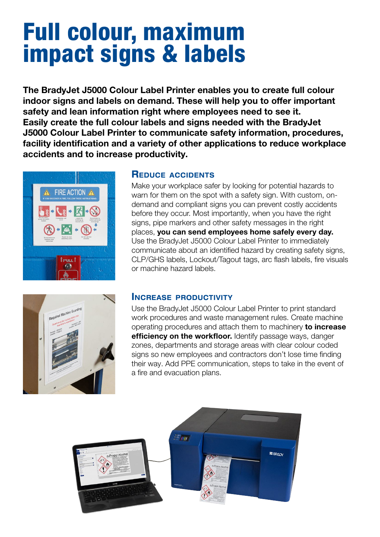### Full colour, maximum impact signs & labels

The BradyJet J5000 Colour Label Printer enables you to create full colour indoor signs and labels on demand. These will help you to offer important safety and lean information right where employees need to see it. Easily create the full colour labels and signs needed with the BradyJet J5000 Colour Label Printer to communicate safety information, procedures, facility identification and a variety of other applications to reduce workplace accidents and to increase productivity.



### REDUCE ACCIDENTS

Make your workplace safer by looking for potential hazards to warn for them on the spot with a safety sign. With custom, ondemand and compliant signs you can prevent costly accidents before they occur. Most importantly, when you have the right signs, pipe markers and other safety messages in the right places, you can send employees home safely every day. Use the BradyJet J5000 Colour Label Printer to immediately communicate about an identified hazard by creating safety signs, CLP/GHS labels, Lockout/Tagout tags, arc flash labels, fire visuals or machine hazard labels.



### INCREASE PRODUCTIVITY

Use the BradyJet J5000 Colour Label Printer to print standard work procedures and waste management rules. Create machine operating procedures and attach them to machinery to increase efficiency on the workfloor. Identify passage ways, danger zones, departments and storage areas with clear colour coded signs so new employees and contractors don't lose time finding their way. Add PPE communication, steps to take in the event of a fire and evacuation plans.

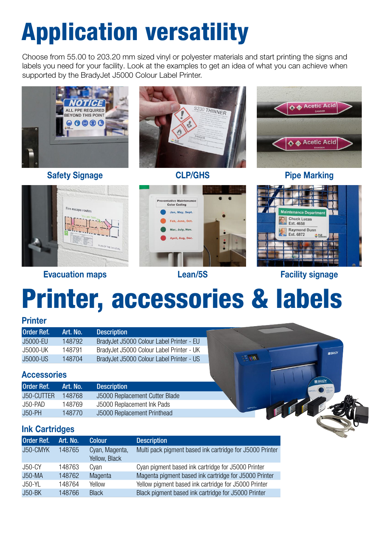### Application versatility

Choose from 55.00 to 203.20 mm sized vinyl or polyester materials and start printing the signs and labels you need for your facility. Look at the examples to get an idea of what you can achieve when supported by the BradyJet J5000 Colour Label Printer.





### Evacuation maps Lean/5S





Facility signage

**SE BRAD** 

## Printer, accessories & labels

### Printer

| <b>Order Ref.</b> | Art. No. I | <b>Description</b>                       |               |
|-------------------|------------|------------------------------------------|---------------|
| J5000-EU          | 148792     | BradyJet J5000 Colour Label Printer - EU |               |
| J5000-UK          | 148791     | BradyJet J5000 Colour Label Printer - UK |               |
| <b>J5000-US</b>   | 148704     | BradyJet J5000 Colour Label Printer - US | <b>EL MAY</b> |

### **Accessories**

| <b>Order Ref.</b> | Art. No. | <b>Description</b>             |
|-------------------|----------|--------------------------------|
| J50-CUTTER        | 148768   | J5000 Replacement Cutter Blade |
| J50-PAD           | 148769   | J5000 Replacement Ink Pads     |
| $J50-PH$          | 148770   | J5000 Replacement Printhead    |

### Ink Cartridges

| <b>Order Ref.</b> | Art. No. | <b>Colour</b>                   | <b>Description</b>                                       |
|-------------------|----------|---------------------------------|----------------------------------------------------------|
| J50-CMYK          | 148765   | Cyan, Magenta,<br>Yellow, Black | Multi pack pigment based ink cartridge for J5000 Printer |
| J50-CY            | 148763   | Cyan                            | Cyan pigment based ink cartridge for J5000 Printer       |
| <b>J50-MA</b>     | 148762   | Magenta                         | Magenta pigment based ink cartridge for J5000 Printer    |
| J50-YL            | 148764   | Yellow                          | Yellow pigment based ink cartridge for J5000 Printer     |
| $J50-BK$          | 148766   | <b>Black</b>                    | Black pigment based ink cartridge for J5000 Printer      |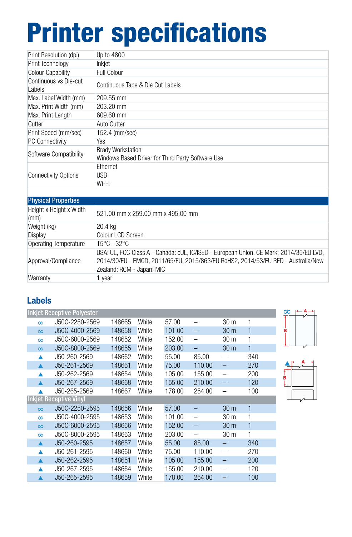# Printer specifications

| Up to 4800                                                                    |
|-------------------------------------------------------------------------------|
| Inkjet                                                                        |
| <b>Full Colour</b>                                                            |
| Continuous Tape & Die Cut Labels                                              |
| 209.55 mm                                                                     |
| 203.20 mm                                                                     |
| 609.60 mm                                                                     |
| <b>Auto Cutter</b>                                                            |
| 152.4 (mm/sec)                                                                |
| Yes                                                                           |
| <b>Brady Workstation</b><br>Windows Based Driver for Third Party Software Use |
| <b>Fthernet</b><br><b>USB</b><br>Wi-Fi                                        |
|                                                                               |

#### **Physical Properties**

| $\blacksquare$                          |                                                                                                                                                                                                         |  |  |  |
|-----------------------------------------|---------------------------------------------------------------------------------------------------------------------------------------------------------------------------------------------------------|--|--|--|
| Height x Height x Width<br>$\mathsf{m}$ | 521.00 mm x 259.00 mm x 495.00 mm                                                                                                                                                                       |  |  |  |
| Weight (kg)                             | 20.4 kg                                                                                                                                                                                                 |  |  |  |
| Display                                 | Colour LCD Screen                                                                                                                                                                                       |  |  |  |
| Operating Temperature                   | 15°C - 32°C                                                                                                                                                                                             |  |  |  |
| Approval/Compliance                     | USA: UL, FCC Class A - Canada: cUL, IC/ISED - European Union: CE Mark; 2014/35/EU LVD,<br>2014/30/EU - EMCD, 2011/65/EU, 2015/863/EU RoHS2, 2014/53/EU RED - Australia/New<br>Zealand: RCM - Japan: MIC |  |  |  |
| Warranty                                | 1 year                                                                                                                                                                                                  |  |  |  |

### Labels

|          | <b>Inkjet Receptive Polyester</b> |        |       |        |                          |                          |     | $\infty$ |
|----------|-----------------------------------|--------|-------|--------|--------------------------|--------------------------|-----|----------|
| $\infty$ | J50C-2250-2569                    | 148665 | White | 57.00  |                          | 30 <sub>m</sub>          |     |          |
| $\infty$ | J50C-4000-2569                    | 148658 | White | 101.00 |                          | 30 <sub>m</sub>          |     |          |
| $\infty$ | J50C-6000-2569                    | 148652 | White | 152.00 | $\qquad \qquad -$        | 30 <sub>m</sub>          |     |          |
| $\infty$ | J50C-8000-2569                    | 148655 | White | 203.00 | —                        | 30 <sub>m</sub>          | 1   |          |
|          | J50-260-2569                      | 148662 | White | 55.00  | 85.00                    |                          | 340 |          |
|          | J50-261-2569                      | 148661 | White | 75.00  | 110.00                   | —                        | 270 |          |
|          | J50-262-2569                      | 148654 | White | 105.00 | 155.00                   | $\overline{\phantom{0}}$ | 200 |          |
|          | J50-267-2569                      | 148668 | White | 155.00 | 210.00                   |                          | 120 |          |
|          | J50-265-2569                      | 148667 | White | 178.00 | 254.00                   | —                        | 100 |          |
|          | <b>Inkjet Receptive Vinyl</b>     |        |       |        |                          |                          |     |          |
| $\infty$ | J50C-2250-2595                    | 148656 | White | 57.00  |                          | 30 <sub>m</sub>          |     |          |
| $\infty$ | J50C-4000-2595                    | 148653 | White | 101.00 | $\qquad \qquad -$        | 30 <sub>m</sub>          |     |          |
| $\infty$ | J50C-6000-2595                    | 148666 | White | 152.00 | $\qquad \qquad -$        | 30 m                     | 1   |          |
| $\infty$ | J50C-8000-2595                    | 148663 | White | 203.00 | $\overline{\phantom{0}}$ | 30 m                     | 1   |          |
| ▲        | J50-260-2595                      | 148657 | White | 55.00  | 85.00                    |                          | 340 |          |
| Δ        | J50-261-2595                      | 148660 | White | 75.00  | 110.00                   | $\overline{\phantom{0}}$ | 270 |          |
|          | J50-262-2595                      | 148651 | White | 105.00 | 155.00                   | -                        | 200 |          |
|          | J50-267-2595                      | 148664 | White | 155.00 | 210.00                   |                          | 120 |          |
|          | J50-265-2595                      | 148659 | White | 178.00 | 254.00                   |                          | 100 |          |